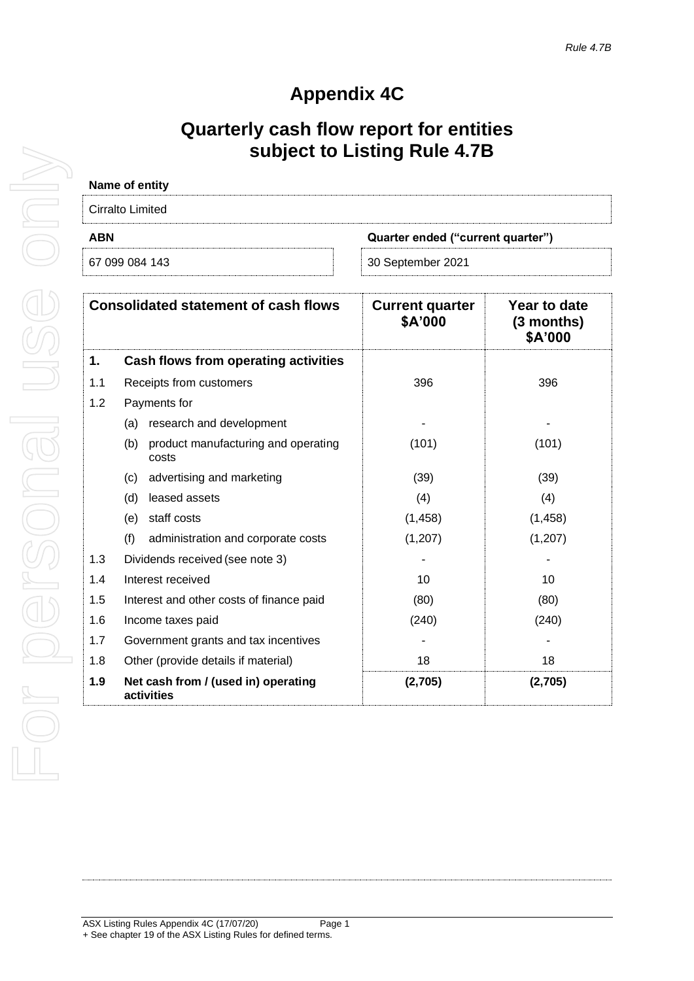# **Appendix 4C**

# **Quarterly cash flow report for entities subject to Listing Rule 4.7B**

| Name of entity                                  |                   |
|-------------------------------------------------|-------------------|
| Cirralto Limited                                |                   |
| <b>ABN</b><br>Quarter ended ("current quarter") |                   |
| 67 099 084 143                                  | 30 September 2021 |

| <b>Consolidated statement of cash flows</b> |                                                     | <b>Current quarter</b><br>\$A'000 | Year to date<br>$(3$ months)<br>\$A'000 |
|---------------------------------------------|-----------------------------------------------------|-----------------------------------|-----------------------------------------|
| 1.                                          | Cash flows from operating activities                |                                   |                                         |
| 1.1                                         | Receipts from customers                             | 396                               | 396                                     |
| 1.2                                         | Payments for                                        |                                   |                                         |
|                                             | research and development<br>(a)                     |                                   |                                         |
|                                             | (b)<br>product manufacturing and operating<br>costs | (101)                             | (101)                                   |
|                                             | advertising and marketing<br>(c)                    | (39)                              | (39)                                    |
|                                             | leased assets<br>(d)                                | (4)                               | (4)                                     |
|                                             | staff costs<br>(e)                                  | (1, 458)                          | (1, 458)                                |
|                                             | (f)<br>administration and corporate costs           | (1, 207)                          | (1,207)                                 |
| 1.3                                         | Dividends received (see note 3)                     |                                   |                                         |
| 1.4                                         | Interest received                                   | 10                                | 10                                      |
| 1.5                                         | Interest and other costs of finance paid            | (80)                              | (80)                                    |
| 1.6                                         | Income taxes paid                                   | (240)                             | (240)                                   |
| 1.7                                         | Government grants and tax incentives                |                                   |                                         |
| 1.8                                         | Other (provide details if material)                 | 18                                | 18                                      |
| 1.9                                         | Net cash from / (used in) operating<br>activities   | (2,705)                           | (2,705)                                 |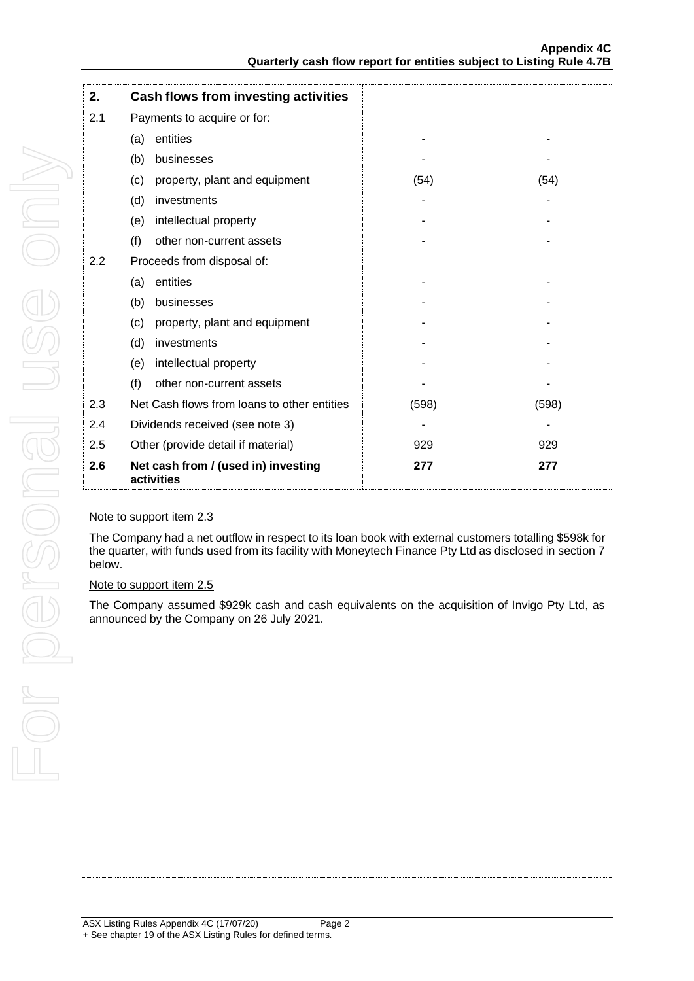| 2.  | Cash flows from investing activities              |       |       |
|-----|---------------------------------------------------|-------|-------|
| 2.1 | Payments to acquire or for:                       |       |       |
|     | entities<br>(a)                                   |       |       |
|     | (b)<br>businesses                                 |       |       |
|     | property, plant and equipment<br>(c)              | (54)  | (54)  |
|     | investments<br>(d)                                |       |       |
|     | (e)<br>intellectual property                      |       |       |
|     | (f)<br>other non-current assets                   |       |       |
| 2.2 | Proceeds from disposal of:                        |       |       |
|     | entities<br>(a)                                   |       |       |
|     | (b)<br>businesses                                 |       |       |
|     | property, plant and equipment<br>(c)              |       |       |
|     | investments<br>(d)                                |       |       |
|     | intellectual property<br>(e)                      |       |       |
|     | (f)<br>other non-current assets                   |       |       |
| 2.3 | Net Cash flows from loans to other entities       | (598) | (598) |
| 2.4 | Dividends received (see note 3)                   |       |       |
| 2.5 | Other (provide detail if material)                | 929   | 929   |
| 2.6 | Net cash from / (used in) investing<br>activities | 277   | 277   |

## Note to support item 2.3

The Company had a net outflow in respect to its loan book with external customers totalling \$598k for the quarter, with funds used from its facility with Moneytech Finance Pty Ltd as disclosed in section 7 below.

### Note to support item 2.5

The Company assumed \$929k cash and cash equivalents on the acquisition of Invigo Pty Ltd, as announced by the Company on 26 July 2021.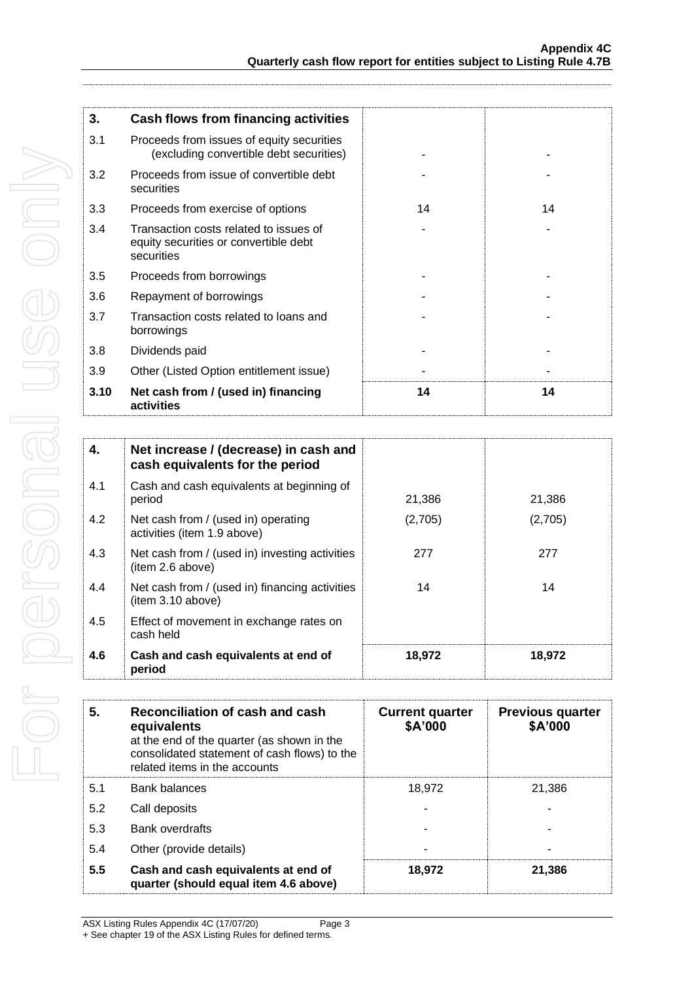| 3.   | <b>Cash flows from financing activities</b>                                                   |    |    |
|------|-----------------------------------------------------------------------------------------------|----|----|
| 3.1  | Proceeds from issues of equity securities<br>(excluding convertible debt securities)          |    |    |
| 3.2  | Proceeds from issue of convertible debt<br>securities                                         |    |    |
| 3.3  | Proceeds from exercise of options                                                             | 14 | 14 |
| 3.4  | Transaction costs related to issues of<br>equity securities or convertible debt<br>securities |    |    |
| 3.5  | Proceeds from borrowings                                                                      |    |    |
| 3.6  | Repayment of borrowings                                                                       |    |    |
| 3.7  | Transaction costs related to loans and<br>borrowings                                          |    |    |
| 3.8  | Dividends paid                                                                                |    |    |
| 3.9  | Other (Listed Option entitlement issue)                                                       |    |    |
| 3.10 | Net cash from / (used in) financing<br>activities                                             | 14 | 14 |

| 4.  | Net increase / (decrease) in cash and<br>cash equivalents for the period |         |         |
|-----|--------------------------------------------------------------------------|---------|---------|
| 4.1 | Cash and cash equivalents at beginning of<br>period                      | 21,386  | 21,386  |
| 4.2 | Net cash from / (used in) operating<br>activities (item 1.9 above)       | (2,705) | (2,705) |
| 4.3 | Net cash from / (used in) investing activities<br>item 2.6 above)        | 277     | 277     |
| 4.4 | Net cash from / (used in) financing activities<br>item 3.10 above)       | 14      | 14      |
| 4.5 | Effect of movement in exchange rates on<br>cash held                     |         |         |
| 4.6 | Cash and cash equivalents at end of<br>period                            | 18,972  | 18,972  |

| Reconciliation of cash and cash<br>5.<br>equivalents<br>at the end of the quarter (as shown in the<br>consolidated statement of cash flows) to the<br>related items in the accounts |                                                                              | <b>Current quarter</b><br>\$A'000 | <b>Previous quarter</b><br>\$A'000 |
|-------------------------------------------------------------------------------------------------------------------------------------------------------------------------------------|------------------------------------------------------------------------------|-----------------------------------|------------------------------------|
| 5.1                                                                                                                                                                                 | Bank balances                                                                | 18.972                            | 21.386                             |
| 5.2                                                                                                                                                                                 | Call deposits                                                                |                                   |                                    |
| 5.3                                                                                                                                                                                 | Bank overdrafts                                                              |                                   |                                    |
| 5.4                                                                                                                                                                                 | Other (provide details)                                                      |                                   |                                    |
| 5.5                                                                                                                                                                                 | Cash and cash equivalents at end of<br>quarter (should equal item 4.6 above) | 18,972                            | 21,386                             |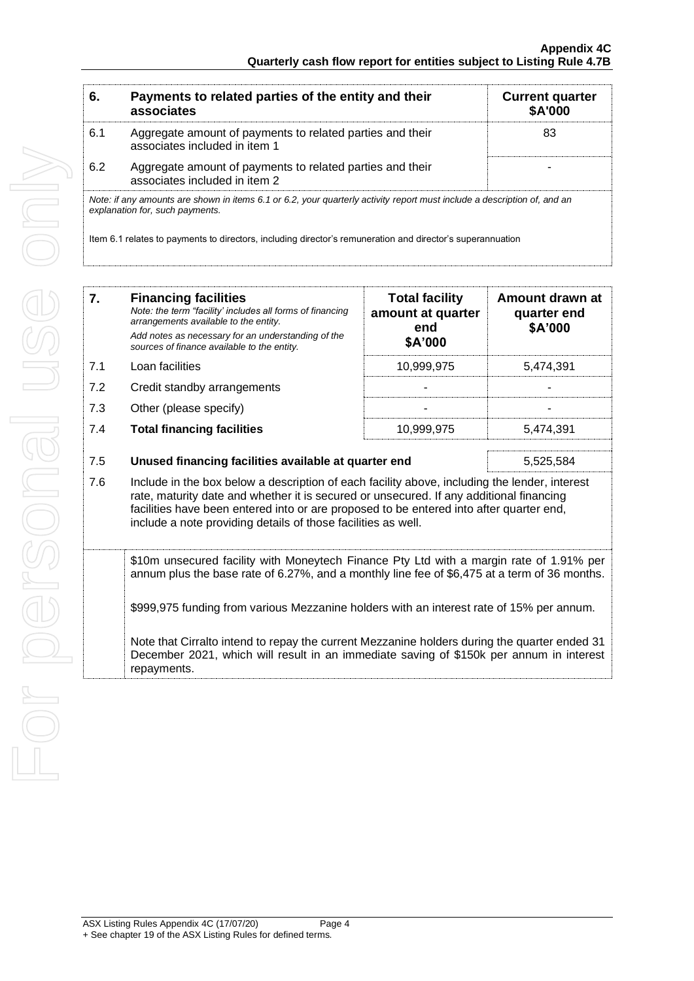| 6.                                                                                                                                                          | Payments to related parties of the entity and their<br>associates                          | <b>Current quarter</b><br><b>\$A'000</b> |
|-------------------------------------------------------------------------------------------------------------------------------------------------------------|--------------------------------------------------------------------------------------------|------------------------------------------|
| 6.1                                                                                                                                                         | Aggregate amount of payments to related parties and their<br>associates included in item 1 | 83                                       |
| 6.2                                                                                                                                                         | Aggregate amount of payments to related parties and their<br>associates included in item 2 |                                          |
| Note: if any amounts are shown in items 6.1 or 6.2, your quarterly activity report must include a description of, and an<br>explanation for, such payments. |                                                                                            |                                          |
| Item 6.1 relates to payments to directors, including director's remuneration and director's superannuation                                                  |                                                                                            |                                          |

| 7.  | <b>Financing facilities</b><br>Note: the term "facility' includes all forms of financing<br>arrangements available to the entity.<br>Add notes as necessary for an understanding of the<br>sources of finance available to the entity.                                                                                                               | <b>Total facility</b><br>amount at quarter<br>end<br>\$A'000 | Amount drawn at<br>quarter end<br>\$A'000 |
|-----|------------------------------------------------------------------------------------------------------------------------------------------------------------------------------------------------------------------------------------------------------------------------------------------------------------------------------------------------------|--------------------------------------------------------------|-------------------------------------------|
| 7.1 | Loan facilities                                                                                                                                                                                                                                                                                                                                      | 10,999,975                                                   | 5,474,391                                 |
| 7.2 | Credit standby arrangements                                                                                                                                                                                                                                                                                                                          |                                                              |                                           |
| 7.3 | Other (please specify)                                                                                                                                                                                                                                                                                                                               |                                                              |                                           |
| 7.4 | <b>Total financing facilities</b>                                                                                                                                                                                                                                                                                                                    | 10,999,975                                                   | 5,474,391                                 |
| 7.5 | Unused financing facilities available at quarter end<br>5.525.584                                                                                                                                                                                                                                                                                    |                                                              |                                           |
| 7.6 | Include in the box below a description of each facility above, including the lender, interest<br>rate, maturity date and whether it is secured or unsecured. If any additional financing<br>facilities have been entered into or are proposed to be entered into after quarter end,<br>include a note providing details of those facilities as well. |                                                              |                                           |
|     | \$10m unsecured facility with Moneytech Finance Pty Ltd with a margin rate of 1.91% per<br>annum plus the base rate of 6.27%, and a monthly line fee of \$6,475 at a term of 36 months.                                                                                                                                                              |                                                              |                                           |
|     | \$999,975 funding from various Mezzanine holders with an interest rate of 15% per annum.                                                                                                                                                                                                                                                             |                                                              |                                           |
|     | Note that Cirralto intend to repay the current Mezzanine holders during the quarter ended 31<br>December 2021, which will result in an immediate saving of \$150k per annum in interest<br>repayments.                                                                                                                                               |                                                              |                                           |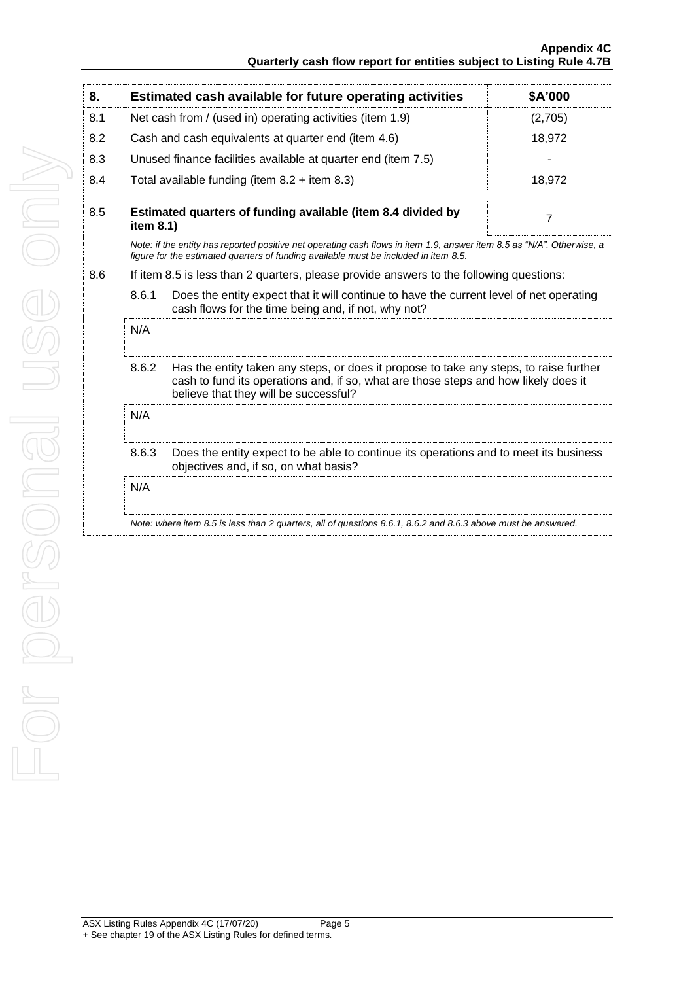| 8.  |                                                                                                                                                                                                                                 | Estimated cash available for future operating activities                                                                                                                                                       | \$A'000        |
|-----|---------------------------------------------------------------------------------------------------------------------------------------------------------------------------------------------------------------------------------|----------------------------------------------------------------------------------------------------------------------------------------------------------------------------------------------------------------|----------------|
| 8.1 | Net cash from / (used in) operating activities (item 1.9)                                                                                                                                                                       |                                                                                                                                                                                                                | (2,705)        |
| 8.2 |                                                                                                                                                                                                                                 | Cash and cash equivalents at quarter end (item 4.6)                                                                                                                                                            | 18,972         |
| 8.3 |                                                                                                                                                                                                                                 | Unused finance facilities available at quarter end (item 7.5)                                                                                                                                                  |                |
| 8.4 |                                                                                                                                                                                                                                 | Total available funding (item $8.2 +$ item $8.3$ )                                                                                                                                                             | 18,972         |
| 8.5 | Estimated quarters of funding available (item 8.4 divided by<br>item 8.1)                                                                                                                                                       |                                                                                                                                                                                                                | $\overline{7}$ |
|     |                                                                                                                                                                                                                                 | Note: if the entity has reported positive net operating cash flows in item 1.9, answer item 8.5 as "N/A". Otherwise, a<br>figure for the estimated quarters of funding available must be included in item 8.5. |                |
| 8.6 |                                                                                                                                                                                                                                 | If item 8.5 is less than 2 quarters, please provide answers to the following questions:                                                                                                                        |                |
|     | 8.6.1<br>Does the entity expect that it will continue to have the current level of net operating<br>cash flows for the time being and, if not, why not?                                                                         |                                                                                                                                                                                                                |                |
|     | N/A                                                                                                                                                                                                                             |                                                                                                                                                                                                                |                |
|     | 8.6.2<br>Has the entity taken any steps, or does it propose to take any steps, to raise further<br>cash to fund its operations and, if so, what are those steps and how likely does it<br>believe that they will be successful? |                                                                                                                                                                                                                |                |
|     | N/A                                                                                                                                                                                                                             |                                                                                                                                                                                                                |                |
|     | 8.6.3                                                                                                                                                                                                                           | Does the entity expect to be able to continue its operations and to meet its business<br>objectives and, if so, on what basis?                                                                                 |                |
|     | N/A                                                                                                                                                                                                                             |                                                                                                                                                                                                                |                |
|     |                                                                                                                                                                                                                                 | Note: where item 8.5 is less than 2 quarters, all of questions 8.6.1, 8.6.2 and 8.6.3 above must be answered.                                                                                                  |                |